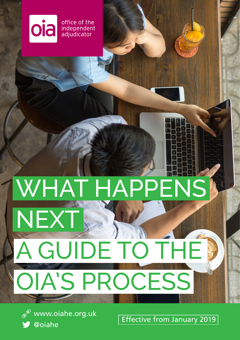What happens next in oia independent<br>adjudicator

# WHAT HAPPENS

# A GUIDE TO T OIA'S PROCESS



NEXT

**Introduction to the OIA Form Section Contract COVA Form January 2019**  $\mathscr{P}$  www.oiahe.org.uk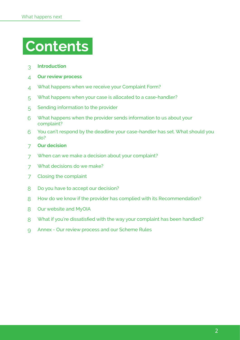# **Contents**

- **[Introduction](#page-2-0)**
- **Ou[r review process](#page-3-0)**
- What happens when we receive your Complaint Form?
- [What happens when your case is allocated to a case-handler?](#page-4-0)
- [Sending information to the provider](#page-4-1)
- [What happens when the provider sends information to us about your](#page-5-0)  [complaint?](#page-5-0)
- Yo[u can't respond by the deadline your case-handler has set. What should you](#page-5-1)  [do?](#page-5-1)
- **Ou[r decision](#page-6-0)**
- [When can we make a decision about your complaint?](#page-6-1)
- [What decisions do we make?](#page-6-2)
- [Closing the complaint](#page-6-3)
- [Do you have to accept our decision?](#page-7-0)
- [How do we know if the provider has complied with its Recommendation?](#page-7-1)
- Our [website and MyOIA](#page-7-2)
- [What if you're dissatisfied with the way your complaint has been handled?](#page-7-3)
- [Annex Our review process and our Scheme Rules](#page-8-0)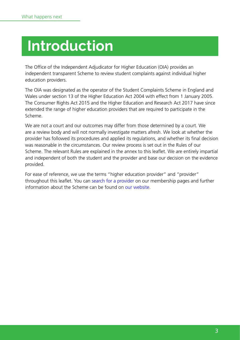# <span id="page-2-0"></span>**Introduction**

The Office of the Independent Adjudicator for Higher Education (OIA) provides an independent transparent Scheme to review student complaints against individual higher education providers.

The OIA was designated as the operator of the Student Complaints Scheme in England and Wales under section 13 of the Higher Education Act 2004 with effect from 1 January 2005. The Consumer Rights Act 2015 and the Higher Education and Research Act 2017 have since extended the range of higher education providers that are required to participate in the Scheme.

We are not a court and our outcomes may differ from those determined by a court. We are a review body and will not normally investigate matters afresh. We look at whether the provider has followed its procedures and applied its regulations, and whether its final decision was reasonable in the circumstances. Our review process is set out in the Rules of our Scheme. The relevant Rules are explained in the annex to this leaflet. We are entirely impartial and independent of both the student and the provider and base our decision on the evidence provided.

For ease of reference, we use the terms "higher education provider" and "provider" throughout this leaflet. You can [search for a provider](https://www.oiahe.org.uk/about-us/our-scheme/our-members/) on our membership pages and further information about the Scheme can be found on [our website](https://www.oiahe.org.uk/).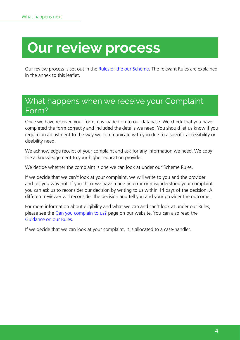# <span id="page-3-0"></span>**Our review process**

Our review process is set out in the [Rules of the our Scheme](https://www.oiahe.org.uk/about-us/our-scheme/our-rules/). The relevant Rules are explained in the annex to this leaflet.

### <span id="page-3-1"></span>What happens when we receive your Complaint Form?

Once we have received your form, it is loaded on to our database. We check that you have completed the form correctly and included the details we need. You should let us know if you require an adjustment to the way we communicate with you due to a specific accessibility or disability need.

We acknowledge receipt of your complaint and ask for any information we need. We copy the acknowledgement to your higher education provider.

We decide whether the complaint is one we can look at under our Scheme Rules.

If we decide that we can't look at your complaint, we will write to you and the provider and tell you why not. If you think we have made an error or misunderstood your complaint, you can ask us to reconsider our decision by writing to us within 14 days of the decision. A different reviewer will reconsider the decision and tell you and your provider the outcome.

For more information about [eligibility](http://www.oiahe.org.uk/making-a-complaint-to-the-oia/can-the-oia-look-at-my-complaint.aspx) and what we can and can't look at under our Rules, please see the [Can you complain to us?](https://www.oiahe.org.uk/students/can-you-complain-to-us/) page on our website. You can also read the [Guidance on our Rules](https://www.oiahe.org.uk/about-us/our-scheme/our-rules/guidance-on-the-rules/).

If we decide that we can look at your complaint, it is allocated to a case-handler.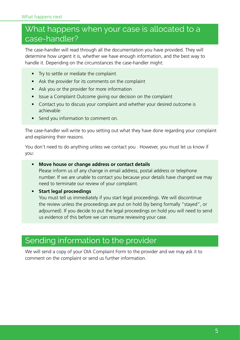## <span id="page-4-0"></span>What happens when your case is allocated to a case-handler?

The case-handler will read through all the documentation you have provided. They will determine how urgent it is, whether we have enough information, and the best way to handle it. Depending on the circumstances the case-handler might:

- Try to settle or mediate the complaint
- Ask the provider for its comments on the complaint
- Ask you or the provider for more information
- Issue a Complaint Outcome giving our decision on the complaint
- Contact you to discuss your complaint and whether your desired outcome is achievable
- Send you information to comment on.

The case-handler will write to you setting out what they have done regarding your complaint and explaining their reasons.

You don't need to do anything unless we contact you . However, you must let us know if you:

#### **• Move house or change address or contact details**

Please inform us of any change in email address, postal address or telephone number. If we are unable to contact you because your details have changed we may need to terminate our review of your complaint.

#### **• Start legal proceedings**

You must tell us immediately if you start legal proceedings. We will discontinue the review unless the proceedings are put on hold (by being formally "stayed", or adjourned). If you decide to put the legal proceedings on hold you will need to send us evidence of this before we can resume reviewing your case.

## <span id="page-4-1"></span>Sending information to the provider

We will send a copy of your OIA Complaint Form to the provider and we may ask it to comment on the complaint or send us further information.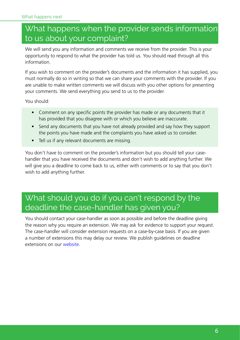## <span id="page-5-0"></span>What happens when the provider sends information to us about your complaint?

We will send you any information and comments we receive from the provider. This is your opportunity to respond to what the provider has told us. You should read through all this information.

If you wish to comment on the provider's documents and the information it has supplied, you must normally do so in writing so that we can share your comments with the provider. If you are unable to make written comments we will discuss with you other options for presenting your comments. We send everything you send to us to the provider.

You should:

- Comment on any specific points the provider has made or any documents that it has provided that you disagree with or which you believe are inaccurate.
- Send any documents that you have not already provided and say how they support the points you have made and the complaints you have asked us to consider.
- Tell us if any relevant documents are missing.

You don't have to comment on the provider's information but you should tell your casehandler that you have received the documents and don't wish to add anything further. We will give you a deadline to come back to us, either with comments or to say that you don't wish to add anything further.

# <span id="page-5-1"></span>What should you do if you can't respond by the deadline the case-handler has given you?

You should contact your case-handler as soon as possible and before the deadline giving the reason why you require an extension. We may ask for evidence to support your request. The case-handler will consider extension requests on a case-by-case basis. If you are given a number of extensions this may delay our review. We publish guidelines on deadline extensions on our [website.](https://www.oiahe.org.uk/about-us/reviewing-complaints/what-happens-when-a-student-complains-to-us/deadlines-and-extensions/)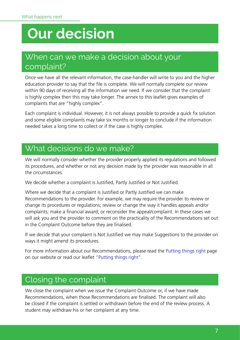# <span id="page-6-0"></span>**Our decision**

## <span id="page-6-1"></span>When can we make a decision about your complaint?

Once we have all the relevant information, the case-handler will write to you and the higher education provider to say that the file is complete. We will normally complete our review within 90 days of receiving all the information we need. If we consider that the complaint is highly complex then this may take longer. The annex to this leaflet gives examples of complaints that are "highly complex".

Each complaint is individual. However, it is not always possible to provide a quick fix solution and some eligible complaints may take six months or longer to conclude if the information needed takes a long time to collect or if the case is highly complex.

### <span id="page-6-2"></span>What decisions do we make?

We will normally consider whether the provider properly applied its regulations and followed its procedures, and whether or not any decision made by the provider was reasonable in all the circumstances.

We decide whether a complaint is Justified, Partly Justified or Not Justified.

Where we decide that a complaint is Justified or Partly Justified we can make Recommendations to the provider. For example, we may require the provider to review or change its procedures or regulations; review or change the way it handles appeals and/or complaints; make a financial award; or reconsider the appeal/complaint. In these cases we will ask you and the provider to comment on the practicality of the Recommendations set out in the Complaint Outcome before they are finalised.

If we decide that your complaint is Not Justified we may make Suggestions to the provider on ways it might amend its procedures.

For more information about our Recommendations, please read the [Putting things right](https://www.oiahe.org.uk/about-us/reviewing-complaints/what-happens-when-a-student-complains-to-us/putting-things-right/) page on our website or read our leaflet ["Putting things right".](https://www.oiahe.org.uk/media/2275/putting-things-right-february-2019.pdf)

#### <span id="page-6-3"></span>Closing the complaint

We close the complaint when we issue the Complaint Outcome or, if we have made Recommendations, when those Recommendations are finalised. The complaint will also be closed if the complaint is settled or withdrawn before the end of the review process. A student may withdraw his or her complaint at any time.

7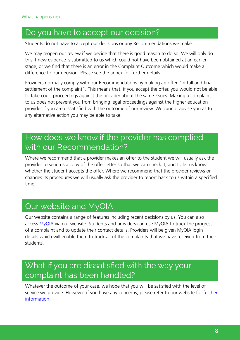#### <span id="page-7-0"></span>Do you have to accept our decision?

Students do not have to accept our decisions or any Recommendations we make.

We may reopen our review if we decide that there is good reason to do so. We will only do this if new evidence is submitted to us which could not have been obtained at an earlier stage, or we find that there is an error in the Complaint Outcome which would make a difference to our decision. Please see the annex for further details.

Providers normally comply with our Recommendations by making an offer "in full and final settlement of the complaint". This means that, if you accept the offer, you would not be able to take court proceedings against the provider about the same issues. Making a complaint to us does not prevent you from bringing legal proceedings against the higher education provider if you are dissatisfied with the outcome of our review. We cannot advise you as to any alternative action you may be able to take.

# <span id="page-7-1"></span>How does we know if the provider has complied with our Recommendation?

Where we recommend that a provider makes an offer to the student we will usually ask the provider to send us a copy of the offer letter so that we can check it, and to let us know whether the student accepts the offer. Where we recommend that the provider reviews or changes its procedures we will usually ask the provider to report back to us within a specified time.

## <span id="page-7-2"></span>Our website and MyOIA

Our website contains a range of features including recent decisions by us. You can also access [MyOIA](https://www.oiahe.org.uk/myoia/) via our website. Students and providers can use MyOIA to track the progress of a complaint and to update their contact details. Providers will be given MyOIA login details which will enable them to track all of the complaints that we have received from their students.

# <span id="page-7-3"></span>What if you are dissatisfied with the way your complaint has been handled?

Whatever the outcome of your case, we hope that you will be satisfied with the level of service we provide. However, if you have any [concerns,](http://www.oiahe.org.uk/complaints-about-our-service.aspx) please refer to our website for further [information](https://www.oiahe.org.uk/about-us/our-organisation/our-service/complaints-about-our-service/).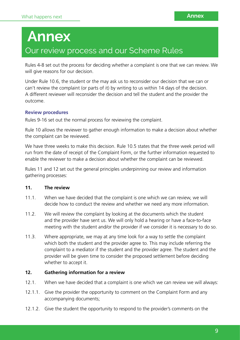# <span id="page-8-0"></span>**Annex**  Our review process and our Scheme Rules

Rules 4-8 set out the process for deciding whether a complaint is one that we can review. We will give reasons for our decision.

Under Rule 10.6, the student or the may ask us to reconsider our decision that we can or can't review the complaint (or parts of it) by writing to us within 14 days of the decision. A different reviewer will reconsider the decision and tell the student and the provider the outcome.

#### **Review procedures**

Rules 9-16 set out the normal process for reviewing the complaint.

Rule 10 allows the reviewer to gather enough information to make a decision about whether the complaint can be reviewed.

We have three weeks to make this decision. Rule 10.5 states that the three week period will run from the date of receipt of the Complaint Form, or the further information requested to enable the reviewer to make a decision about whether the complaint can be reviewed.

Rules 11 and 12 set out the general principles underpinning our review and information gathering processes:

#### **11. The review**

- 11.1. When we have decided that the complaint is one which we can review, we will decide how to conduct the review and whether we need any more information.
- 11.2. We will review the complaint by looking at the documents which the student and the provider have sent us. We will only hold a hearing or have a face-to-face meeting with the student and/or the provider if we consider it is necessary to do so.
- 11.3. Where appropriate, we may at any time look for a way to settle the complaint which both the student and the provider agree to. This may include referring the complaint to a mediator if the student and the provider agree. The student and the provider will be given time to consider the proposed settlement before deciding whether to accept it.

#### **12. Gathering information for a review**

- 12.1. When we have decided that a complaint is one which we can review we will always:
- 12.1.1. Give the provider the opportunity to comment on the Complaint Form and any accompanying documents;
- 12.1.2. Give the student the opportunity to respond to the provider's comments on the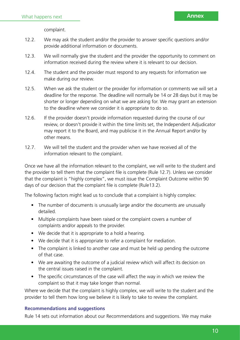complaint.

- 12.2. We may ask the student and/or the provider to answer specific questions and/or provide additional information or documents.
- 12.3. We will normally give the student and the provider the opportunity to comment on information received during the review where it is relevant to our decision.
- 12.4. The student and the provider must respond to any requests for information we make during our review.
- 12.5. When we ask the student or the provider for information or comments we will set a deadline for the response. The deadline will normally be 14 or 28 days but it may be shorter or longer depending on what we are asking for. We may grant an extension to the deadline where we consider it is appropriate to do so.
- 12.6. If the provider doesn't provide information requested during the course of our review, or doesn't provide it within the time limits set, the Independent Adjudicator may report it to the Board, and may publicise it in the Annual Report and/or by other means.
- 12.7. We will tell the student and the provider when we have received all of the information relevant to the complaint.

Once we have all the information relevant to the complaint, we will write to the student and the provider to tell them that the complaint file is complete (Rule 12.7). Unless we consider that the complaint is "highly complex", we must issue the Complaint Outcome within 90 days of our decision that the complaint file is complete (Rule13.2).

The following factors might lead us to conclude that a complaint is highly complex:

- The number of documents is unusually large and/or the documents are unusually detailed.
- Multiple complaints have been raised or the complaint covers a number of complaints and/or appeals to the provider.
- We decide that it is appropriate to a hold a hearing.
- We decide that it is appropriate to refer a complaint for mediation.
- The complaint is linked to another case and must be held up pending the outcome of that case.
- We are awaiting the outcome of a judicial review which will affect its decision on the central issues raised in the complaint.
- The specific circumstances of the case will affect the way in which we review the complaint so that it may take longer than normal.

Where we decide that the complaint is highly complex, we will write to the student and the provider to tell them how long we believe it is likely to take to review the complaint.

#### **Recommendations and suggestions**

Rule 14 sets out information about our Recommendations and suggestions. We may make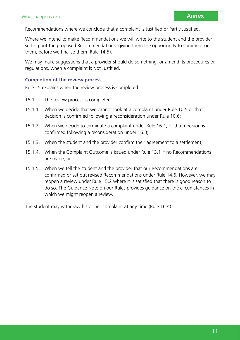Recommendations where we conclude that a complaint is Justified or Partly Justified.

Where we intend to make Recommendations we will write to the student and the provider setting out the proposed Recommendations, giving them the opportunity to comment on them, before we finalise them (Rule 14.5).

We may make suggestions that a provider should do something, or amend its procedures or regulations, when a complaint is Not Justified.

#### **Completion of the review process**

Rule 15 explains when the review process is completed:

- 15.1. The review process is completed:
- 15.1.1. When we decide that we cannot look at a complaint under Rule 10.5 or that decision is confirmed following a reconsideration under Rule 10.6;
- 15.1.2. When we decide to terminate a complaint under Rule 16.1, or that decision is confirmed following a reconsideration under 16.3;
- 15.1.3. When the student and the provider confirm their agreement to a settlement;
- 15.1.4. When the Complaint Outcome is issued under Rule 13.1 if no Recommendations are made; or
- 15.1.5. When we tell the student and the provider that our Recommendations are confirmed or set out revised Recommendations under Rule 14.6. However, we may reopen a review under Rule 15.2 where it is satisfied that there is good reason to do so. The Guidance Note on our Rules provides guidance on the circumstances in which we might reopen a review.

The student may withdraw his or her complaint at any time (Rule 16.4).